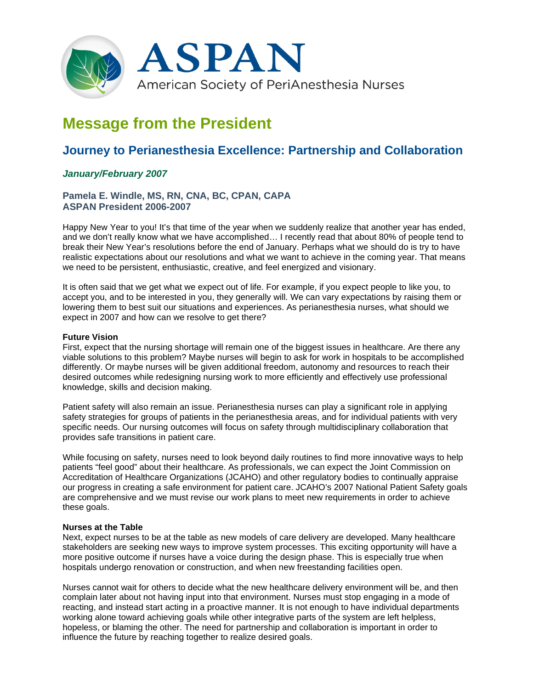

# **Message from the President**

# **Journey to Perianesthesia Excellence: Partnership and Collaboration**

## *January/February 2007*

### **Pamela E. Windle, MS, RN, CNA, BC, CPAN, CAPA ASPAN President 2006-2007**

Happy New Year to you! It's that time of the year when we suddenly realize that another year has ended, and we don't really know what we have accomplished… I recently read that about 80% of people tend to break their New Year's resolutions before the end of January. Perhaps what we should do is try to have realistic expectations about our resolutions and what we want to achieve in the coming year. That means we need to be persistent, enthusiastic, creative, and feel energized and visionary.

It is often said that we get what we expect out of life. For example, if you expect people to like you, to accept you, and to be interested in you, they generally will. We can vary expectations by raising them or lowering them to best suit our situations and experiences. As perianesthesia nurses, what should we expect in 2007 and how can we resolve to get there?

#### **Future Vision**

First, expect that the nursing shortage will remain one of the biggest issues in healthcare. Are there any viable solutions to this problem? Maybe nurses will begin to ask for work in hospitals to be accomplished differently. Or maybe nurses will be given additional freedom, autonomy and resources to reach their desired outcomes while redesigning nursing work to more efficiently and effectively use professional knowledge, skills and decision making.

Patient safety will also remain an issue. Perianesthesia nurses can play a significant role in applying safety strategies for groups of patients in the perianesthesia areas, and for individual patients with very specific needs. Our nursing outcomes will focus on safety through multidisciplinary collaboration that provides safe transitions in patient care.

While focusing on safety, nurses need to look beyond daily routines to find more innovative ways to help patients "feel good" about their healthcare. As professionals, we can expect the Joint Commission on Accreditation of Healthcare Organizations (JCAHO) and other regulatory bodies to continually appraise our progress in creating a safe environment for patient care. JCAHO's 2007 National Patient Safety goals are comprehensive and we must revise our work plans to meet new requirements in order to achieve these goals.

#### **Nurses at the Table**

Next, expect nurses to be at the table as new models of care delivery are developed. Many healthcare stakeholders are seeking new ways to improve system processes. This exciting opportunity will have a more positive outcome if nurses have a voice during the design phase. This is especially true when hospitals undergo renovation or construction, and when new freestanding facilities open.

Nurses cannot wait for others to decide what the new healthcare delivery environment will be, and then complain later about not having input into that environment. Nurses must stop engaging in a mode of reacting, and instead start acting in a proactive manner. It is not enough to have individual departments working alone toward achieving goals while other integrative parts of the system are left helpless, hopeless, or blaming the other. The need for partnership and collaboration is important in order to influence the future by reaching together to realize desired goals.